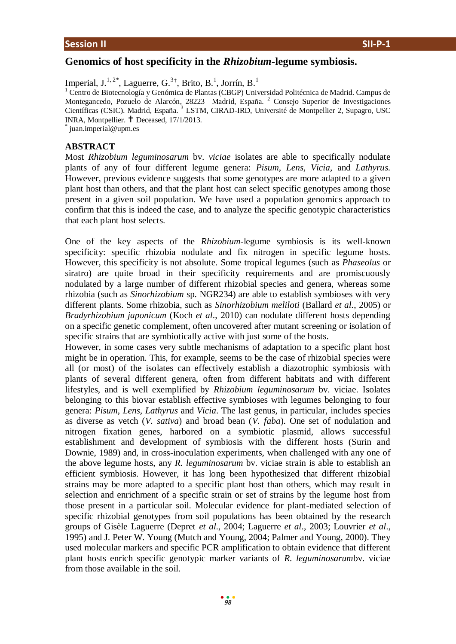# **Genomics of host specificity in the** *Rhizobium-***legume symbiosis.**

Imperial, J.<sup>1,2\*</sup>, Laguerre, G.<sup>3+</sup>, Brito, B.<sup>1</sup>, Jorrín, B.<sup>1</sup>

<sup>1</sup> Centro de Biotecnología y Genómica de Plantas (CBGP) Universidad Politécnica de Madrid. Campus de Montegancedo, Pozuelo de Alarcón, 28223 Madrid, España.<sup>2</sup> Consejo Superior de Investigaciones Científicas (CSIC). Madrid, España. <sup>3</sup> LSTM, CIRAD-IRD, Université de Montpellier 2, Supagro, USC INRA, Montpellier. Deceased, 17/1/2013.

\* juan.imperial@upm.es

## **ABSTRACT**

Most *Rhizobium leguminosarum* bv. *viciae* isolates are able to specifically nodulate plants of any of four different legume genera: *Pisum, Lens, Vicia,* and *Lathyrus.*  However, previous evidence suggests that some genotypes are more adapted to a given plant host than others, and that the plant host can select specific genotypes among those present in a given soil population. We have used a population genomics approach to confirm that this is indeed the case, and to analyze the specific genotypic characteristics that each plant host selects.

One of the key aspects of the *Rhizobium-*legume symbiosis is its well-known specificity: specific rhizobia nodulate and fix nitrogen in specific legume hosts. However, this specificity is not absolute. Some tropical legumes (such as *Phaseolus* or siratro) are quite broad in their specificity requirements and are promiscuously nodulated by a large number of different rhizobial species and genera, whereas some rhizobia (such as *Sinorhizobium* sp*.* NGR234) are able to establish symbioses with very different plants. Some rhizobia, such as *Sinorhizobium meliloti* (Ballard *et al.*, 2005) or *Bradyrhizobium japonicum* (Koch *et al*., 2010) can nodulate different hosts depending on a specific genetic complement, often uncovered after mutant screening or isolation of specific strains that are symbiotically active with just some of the hosts.

However, in some cases very subtle mechanisms of adaptation to a specific plant host might be in operation. This, for example, seems to be the case of rhizobial species were all (or most) of the isolates can effectively establish a diazotrophic symbiosis with plants of several different genera, often from different habitats and with different lifestyles, and is well exemplified by *Rhizobium leguminosarum* bv. viciae. Isolates belonging to this biovar establish effective symbioses with legumes belonging to four genera: *Pisum*, *Lens, Lathyrus* and *Vicia*. The last genus, in particular, includes species as diverse as vetch (*V. sativa*) and broad bean (*V. faba*). One set of nodulation and nitrogen fixation genes, harbored on a symbiotic plasmid, allows successful establishment and development of symbiosis with the different hosts (Surin and Downie, 1989) and, in cross-inoculation experiments, when challenged with any one of the above legume hosts, any *R. leguminosarum* bv. viciae strain is able to establish an efficient symbiosis. However, it has long been hypothesized that different rhizobial strains may be more adapted to a specific plant host than others, which may result in selection and enrichment of a specific strain or set of strains by the legume host from those present in a particular soil. Molecular evidence for plant-mediated selection of specific rhizobial genotypes from soil populations has been obtained by the research groups of Gisèle Laguerre (Depret *et al*., 2004; Laguerre *et al*., 2003; Louvrier *et al*., 1995) and J. Peter W. Young (Mutch and Young, 2004; Palmer and Young, 2000). They used molecular markers and specific PCR amplification to obtain evidence that different plant hosts enrich specific genotypic marker variants of *R. leguminosarum*bv. viciae from those available in the soil.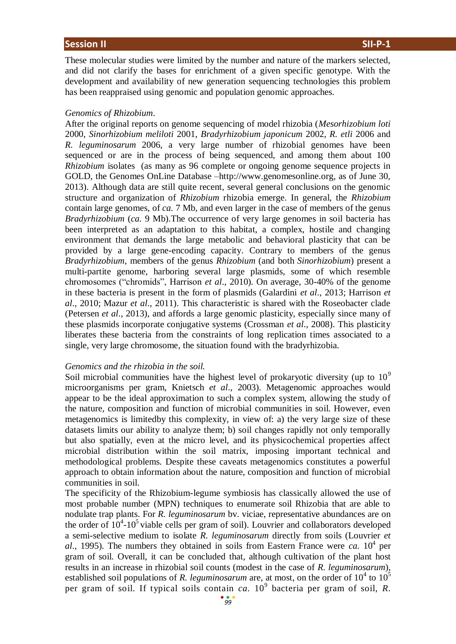These molecular studies were limited by the number and nature of the markers selected, and did not clarify the bases for enrichment of a given specific genotype. With the development and availability of new generation sequencing technologies this problem has been reappraised using genomic and population genomic approaches.

### *Genomics of Rhizobium*.

After the original reports on genome sequencing of model rhizobia (*Mesorhizobium loti*  2000, *Sinorhizobium meliloti* 2001, *Bradyrhizobium japonicum* 2002, *R. etli* 2006 and *R. leguminosarum* 2006, a very large number of rhizobial genomes have been sequenced or are in the process of being sequenced, and among them about 100 *Rhizobium* isolates (as many as 96 complete or ongoing genome sequence projects in GOLD, the Genomes OnLine Database –http://www.genomesonline.org, as of June 30, 2013). Although data are still quite recent, several general conclusions on the genomic structure and organization of *Rhizobium* rhizobia emerge. In general, the *Rhizobium* contain large genomes, of *ca.* 7 Mb, and even larger in the case of members of the genus *Bradyrhizobium* (*ca.* 9 Mb).The occurrence of very large genomes in soil bacteria has been interpreted as an adaptation to this habitat, a complex, hostile and changing environment that demands the large metabolic and behavioral plasticity that can be provided by a large gene-encoding capacity. Contrary to members of the genus *Bradyrhizobium*, members of the genus *Rhizobium* (and both *Sinorhizobium*) present a multi-partite genome, harboring several large plasmids, some of which resemble chromosomes ("chromids", Harrison *et al*., 2010). On average, 30-40% of the genome in these bacteria is present in the form of plasmids (Galardini *et al*., 2013; Harrison *et al*., 2010; Mazur *et al*., 2011). This characteristic is shared with the Roseobacter clade (Petersen *et al*., 2013), and affords a large genomic plasticity, especially since many of these plasmids incorporate conjugative systems (Crossman *et al*., 2008). This plasticity liberates these bacteria from the constraints of long replication times associated to a single, very large chromosome, the situation found with the bradyrhizobia.

### *Genomics and the rhizobia in the soil.*

Soil microbial communities have the highest level of prokaryotic diversity (up to  $10<sup>9</sup>$ microorganisms per gram, Knietsch *et al*., 2003). Metagenomic approaches would appear to be the ideal approximation to such a complex system, allowing the study of the nature, composition and function of microbial communities in soil. However, even metagenomics is limitedby this complexity, in view of: a) the very large size of these datasets limits our ability to analyze them; b) soil changes rapidly not only temporally but also spatially, even at the micro level, and its physicochemical properties affect microbial distribution within the soil matrix, imposing important technical and methodological problems. Despite these caveats metagenomics constitutes a powerful approach to obtain information about the nature, composition and function of microbial communities in soil.

The specificity of the Rhizobium-legume symbiosis has classically allowed the use of most probable number (MPN) techniques to enumerate soil Rhizobia that are able to nodulate trap plants. For *R. leguminosarum* bv. viciae, representative abundances are on the order of  $10^4$ -10<sup>5</sup> viable cells per gram of soil). Louvrier and collaborators developed a semi-selective medium to isolate *R. leguminosarum* directly from soils (Louvrier *et*   $al.$ , 1995). The numbers they obtained in soils from Eastern France were *ca.*  $10^4$  per gram of soil. Overall, it can be concluded that, although cultivation of the plant host results in an increase in rhizobial soil counts (modest in the case of *R. leguminosarum*), established soil populations of *R. leguminosarum* are, at most, on the order of  $10^4$  to  $10^5$ per gram of soil. If typical soils contain *ca.* 10<sup>9</sup> bacteria per gram of soil, *R.*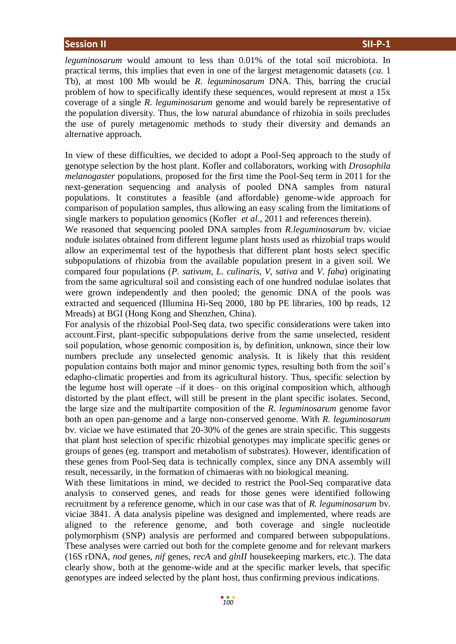*leguminosarum* would amount to less than 0.01% of the total soil microbiota. In practical terms, this implies that even in one of the largest metagenomic datasets (*ca.* 1 Tb), at most 100 Mb would be *R. leguminosarum* DNA. This, barring the crucial problem of how to specifically identify these sequences, would represent at most a 15x coverage of a single *R. leguminosarum* genome and would barely be representative of the population diversity. Thus, the low natural abundance of rhizobia in soils precludes the use of purely metagenomic methods to study their diversity and demands an alternative approach.

In view of these difficulties, we decided to adopt a Pool-Seq approach to the study of genotype selection by the host plant. Kofler and collaborators, working with *Drosophila melanogaster* populations, proposed for the first time the Pool-Seq term in 2011 for the next-generation sequencing and analysis of pooled DNA samples from natural populations. It constitutes a feasible (and affordable) genome-wide approach for comparison of population samples, thus allowing an easy scaling from the limitations of single markers to population genomics (Kofler *et al*., 2011 and references therein).

We reasoned that sequencing pooled DNA samples from *R.leguminosarum* bv. viciae nodule isolates obtained from different legume plant hosts used as rhizobial traps would allow an experimental test of the hypothesis that different plant hosts select specific subpopulations of rhizobia from the available population present in a given soil. We compared four populations (*P. sativum*, *L. culinaris, V, sativa* and *V. faba*) originating from the same agricultural soil and consisting each of one hundred nodulae isolates that were grown independently and then pooled; the genomic DNA of the pools was extracted and sequenced (Illumina Hi-Seq 2000, 180 bp PE libraries, 100 bp reads, 12 Mreads) at BGI (Hong Kong and Shenzhen, China).

For analysis of the rhizobial Pool-Seq data, two specific considerations were taken into account.First, plant-specific subpopulations derive from the same unselected, resident soil population, whose genomic composition is, by definition, unknown, since their low numbers preclude any unselected genomic analysis. It is likely that this resident population contains both major and minor genomic types, resulting both from the soil's edapho-climatic properties and from its agricultural history. Thus, specific selection by the legume host will operate –if it does– on this original composition which, although distorted by the plant effect, will still be present in the plant specific isolates. Second, the large size and the multipartite composition of the *R. leguminosarum* genome favor both an open pan-genome and a large non-conserved genome. With *R. leguminosarum*  bv. viciae we have estimated that 20-30% of the genes are strain specific. This suggests that plant host selection of specific rhizobial genotypes may implicate specific genes or groups of genes (eg. transport and metabolism of substrates). However, identification of these genes from Pool-Seq data is technically complex, since any DNA assembly will result, necessarily, in the formation of chimaeras with no biological meaning.

With these limitations in mind, we decided to restrict the Pool-Seq comparative data analysis to conserved genes, and reads for those genes were identified following recruitment by a reference genome, which in our case was that of *R. leguminosarum* bv. viciae 3841. A data analysis pipeline was designed and implemented, where reads are aligned to the reference genome, and both coverage and single nucleotide polymorphism (SNP) analysis are performed and compared between subpopulations. These analyses were carried out both for the complete genome and for relevant markers (16S rDNA, *nod* genes, *nif* genes, *recA* and *glnII* housekeeping markers, etc.). The data clearly show, both at the genome-wide and at the specific marker levels, that specific genotypes are indeed selected by the plant host, thus confirming previous indications.